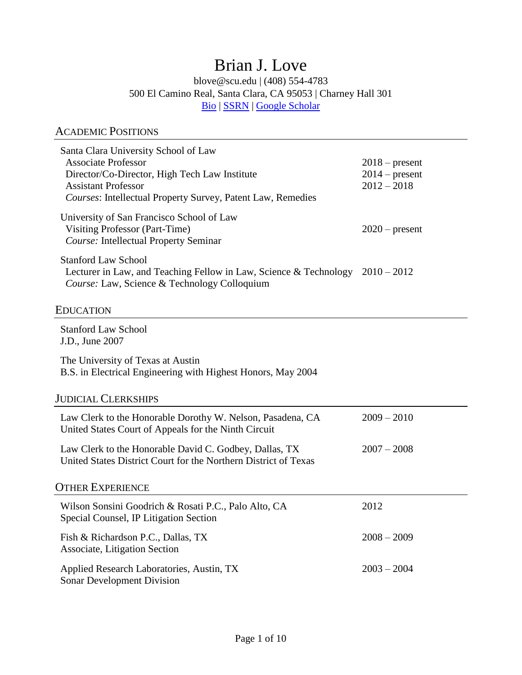# Brian J. Love

blove@scu.edu | (408) 554-4783 500 El Camino Real, Santa Clara, CA 95053 | Charney Hall 301 [Bio](https://law.scu.edu/faculty/profile/love-brian/) | [SSRN](https://papers.ssrn.com/sol3/cf_dev/AbsByAuth.cfm?per_id=819899) | [Google Scholar](https://scholar.google.com/citations?user=VoEABI0AAAAJ&hl=en)

## ACADEMIC POSITIONS

| Santa Clara University School of Law<br><b>Associate Professor</b><br>Director/Co-Director, High Tech Law Institute<br><b>Assistant Professor</b><br>Courses: Intellectual Property Survey, Patent Law, Remedies | $2018$ – present<br>$2014$ – present<br>$2012 - 2018$ |
|------------------------------------------------------------------------------------------------------------------------------------------------------------------------------------------------------------------|-------------------------------------------------------|
| University of San Francisco School of Law<br>Visiting Professor (Part-Time)<br>Course: Intellectual Property Seminar                                                                                             | $2020$ – present                                      |
| <b>Stanford Law School</b><br>Lecturer in Law, and Teaching Fellow in Law, Science & Technology $2010 - 2012$<br>Course: Law, Science & Technology Colloquium                                                    |                                                       |
| Education                                                                                                                                                                                                        |                                                       |
| <b>Stanford Law School</b><br>J.D., June 2007                                                                                                                                                                    |                                                       |
| The University of Texas at Austin<br>B.S. in Electrical Engineering with Highest Honors, May 2004                                                                                                                |                                                       |
| <b>JUDICIAL CLERKSHIPS</b>                                                                                                                                                                                       |                                                       |
| Law Clerk to the Honorable Dorothy W. Nelson, Pasadena, CA<br>United States Court of Appeals for the Ninth Circuit                                                                                               | $2009 - 2010$                                         |
| Law Clerk to the Honorable David C. Godbey, Dallas, TX<br>United States District Court for the Northern District of Texas                                                                                        | $2007 - 2008$                                         |
| <b>OTHER EXPERIENCE</b>                                                                                                                                                                                          |                                                       |
| Wilson Sonsini Goodrich & Rosati P.C., Palo Alto, CA<br>Special Counsel, IP Litigation Section                                                                                                                   | 2012                                                  |
| Fish & Richardson P.C., Dallas, TX<br>Associate, Litigation Section                                                                                                                                              | $2008 - 2009$                                         |
| Applied Research Laboratories, Austin, TX<br><b>Sonar Development Division</b>                                                                                                                                   | $2003 - 2004$                                         |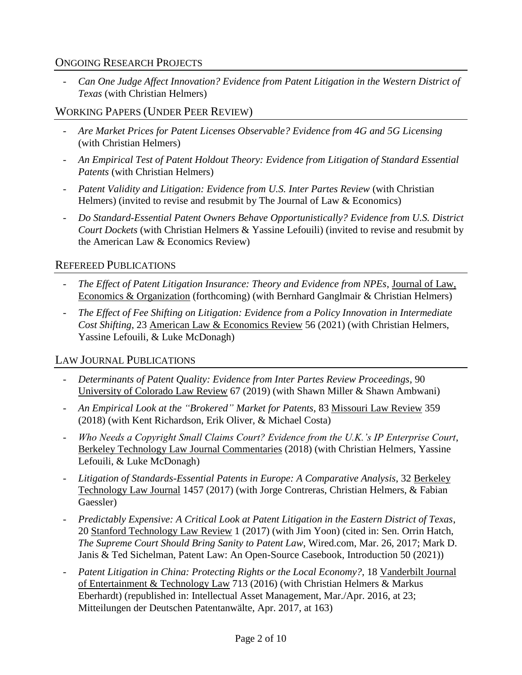## ONGOING RESEARCH PROJECTS

*- Can One Judge Affect Innovation? Evidence from Patent Litigation in the Western District of Texas* (with Christian Helmers)

## WORKING PAPERS (UNDER PEER REVIEW)

- *- Are Market Prices for Patent Licenses Observable? Evidence from 4G and 5G Licensing* (with Christian Helmers)
- *- An Empirical Test of Patent Holdout Theory: Evidence from Litigation of Standard Essential Patents* (with Christian Helmers)
- *- Patent Validity and Litigation: Evidence from U.S. Inter Partes Review* (with Christian Helmers) (invited to revise and resubmit by The Journal of Law & Economics)
- *- Do Standard-Essential Patent Owners Behave Opportunistically? Evidence from U.S. District Court Dockets* (with Christian Helmers & Yassine Lefouili) (invited to revise and resubmit by the American Law & Economics Review)

#### REFEREED PUBLICATIONS

- *- The Effect of Patent Litigation Insurance: Theory and Evidence from NPEs*, Journal of Law, Economics & Organization (forthcoming) (with Bernhard Ganglmair & Christian Helmers)
- *- The Effect of Fee Shifting on Litigation: Evidence from a Policy Innovation in Intermediate Cost Shifting*, 23 American Law & Economics Review 56 (2021) (with Christian Helmers, Yassine Lefouili, & Luke McDonagh)

## LAW JOURNAL PUBLICATIONS

- *- Determinants of Patent Quality: Evidence from Inter Partes Review Proceedings*, 90 University of Colorado Law Review 67 (2019) (with Shawn Miller & Shawn Ambwani)
- *- An Empirical Look at the "Brokered" Market for Patents*, 83 Missouri Law Review 359 (2018) (with Kent Richardson, Erik Oliver, & Michael Costa)
- *- Who Needs a Copyright Small Claims Court? Evidence from the U.K.'s IP Enterprise Court*, Berkeley Technology Law Journal Commentaries (2018) (with Christian Helmers, Yassine Lefouili, & Luke McDonagh)
- *- Litigation of Standards-Essential Patents in Europe: A Comparative Analysis*, 32 Berkeley Technology Law Journal 1457 (2017) (with Jorge Contreras, Christian Helmers, & Fabian Gaessler)
- *- Predictably Expensive: A Critical Look at Patent Litigation in the Eastern District of Texas*, 20 Stanford Technology Law Review 1 (2017) (with Jim Yoon) (cited in: Sen. Orrin Hatch, *The Supreme Court Should Bring Sanity to Patent Law*, Wired.com, Mar. 26, 2017; Mark D. Janis & Ted Sichelman, Patent Law: An Open-Source Casebook, Introduction 50 (2021))
- *- Patent Litigation in China: Protecting Rights or the Local Economy?*, 18 Vanderbilt Journal of Entertainment & Technology Law 713 (2016) (with Christian Helmers & Markus Eberhardt) (republished in: Intellectual Asset Management, Mar./Apr. 2016, at 23; Mitteilungen der Deutschen Patentanwälte, Apr. 2017, at 163)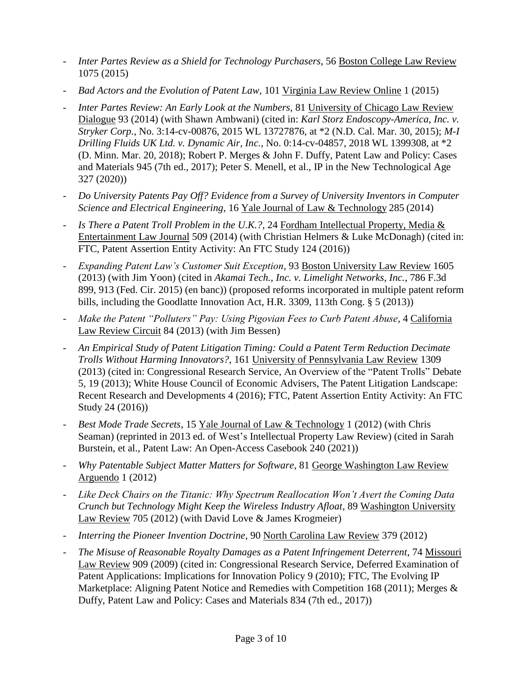- *- Inter Partes Review as a Shield for Technology Purchasers*, 56 Boston College Law Review 1075 (2015)
- *- Bad Actors and the Evolution of Patent Law*, 101 Virginia Law Review Online 1 (2015)
- *- Inter Partes Review: An Early Look at the Numbers*, 81 University of Chicago Law Review Dialogue 93 (2014) (with Shawn Ambwani) (cited in: *Karl Storz Endoscopy-America, Inc. v. Stryker Corp.*, No. 3:14-cv-00876, 2015 WL 13727876, at \*2 (N.D. Cal. Mar. 30, 2015); *M-I Drilling Fluids UK Ltd. v. Dynamic Air, Inc.*, No. 0:14-cv-04857, 2018 WL 1399308, at \*2 (D. Minn. Mar. 20, 2018); Robert P. Merges & John F. Duffy, Patent Law and Policy: Cases and Materials 945 (7th ed., 2017); Peter S. Menell, et al., IP in the New Technological Age 327 (2020))
- *- Do University Patents Pay Off? Evidence from a Survey of University Inventors in Computer Science and Electrical Engineering*, 16 Yale Journal of Law & Technology 285 (2014)
- *- Is There a Patent Troll Problem in the U.K.?*, 24 Fordham Intellectual Property, Media & Entertainment Law Journal 509 (2014) (with Christian Helmers & Luke McDonagh) (cited in: FTC, Patent Assertion Entity Activity: An FTC Study 124 (2016))
- *- Expanding Patent Law's Customer Suit Exception*, 93 Boston University Law Review 1605 (2013) (with Jim Yoon) (cited in *Akamai Tech., Inc. v. Limelight Networks, Inc.*, 786 F.3d 899, 913 (Fed. Cir. 2015) (en banc)) (proposed reforms incorporated in multiple patent reform bills, including the Goodlatte Innovation Act, H.R. 3309, 113th Cong. § 5 (2013))
- *- Make the Patent "Polluters" Pay: Using Pigovian Fees to Curb Patent Abuse*, 4 California Law Review Circuit 84 (2013) (with Jim Bessen)
- *- An Empirical Study of Patent Litigation Timing: Could a Patent Term Reduction Decimate Trolls Without Harming Innovators?*, 161 University of Pennsylvania Law Review 1309 (2013) (cited in: Congressional Research Service, An Overview of the "Patent Trolls" Debate 5, 19 (2013); White House Council of Economic Advisers, The Patent Litigation Landscape: Recent Research and Developments 4 (2016); FTC, Patent Assertion Entity Activity: An FTC Study 24 (2016))
- *- Best Mode Trade Secrets*, 15 Yale Journal of Law & Technology 1 (2012) (with Chris Seaman) (reprinted in 2013 ed. of West's Intellectual Property Law Review) (cited in Sarah Burstein, et al., Patent Law: An Open-Access Casebook 240 (2021))
- *- Why Patentable Subject Matter Matters for Software*, 81 George Washington Law Review Arguendo 1 (2012)
- *- Like Deck Chairs on the Titanic: Why Spectrum Reallocation Won't Avert the Coming Data Crunch but Technology Might Keep the Wireless Industry Afloat*, 89 Washington University Law Review 705 (2012) (with David Love & James Krogmeier)
- *- Interring the Pioneer Invention Doctrine*, 90 North Carolina Law Review 379 (2012)
- *- The Misuse of Reasonable Royalty Damages as a Patent Infringement Deterrent*, 74 Missouri Law Review 909 (2009) (cited in: Congressional Research Service, Deferred Examination of Patent Applications: Implications for Innovation Policy 9 (2010); FTC, The Evolving IP Marketplace: Aligning Patent Notice and Remedies with Competition 168 (2011); Merges & Duffy, Patent Law and Policy: Cases and Materials 834 (7th ed., 2017))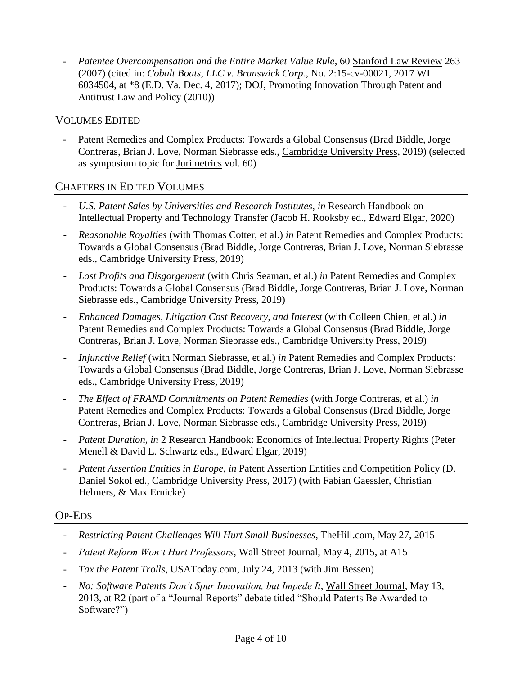*- Patentee Overcompensation and the Entire Market Value Rule*, 60 Stanford Law Review 263 (2007) (cited in: *Cobalt Boats, LLC v. Brunswick Corp.*, No. 2:15-cv-00021, 2017 WL 6034504, at \*8 (E.D. Va. Dec. 4, 2017); DOJ, Promoting Innovation Through Patent and Antitrust Law and Policy (2010))

## VOLUMES EDITED

Patent Remedies and Complex Products: Towards a Global Consensus (Brad Biddle, Jorge Contreras, Brian J. Love, Norman Siebrasse eds., Cambridge University Press, 2019) (selected as symposium topic for Jurimetrics vol. 60)

## CHAPTERS IN EDITED VOLUMES

- *- U.S. Patent Sales by Universities and Research Institutes*, *in* Research Handbook on Intellectual Property and Technology Transfer (Jacob H. Rooksby ed., Edward Elgar, 2020)
- *- Reasonable Royalties* (with Thomas Cotter, et al.) *in* Patent Remedies and Complex Products: Towards a Global Consensus (Brad Biddle, Jorge Contreras, Brian J. Love, Norman Siebrasse eds., Cambridge University Press, 2019)
- *- Lost Profits and Disgorgement* (with Chris Seaman, et al.) *in* Patent Remedies and Complex Products: Towards a Global Consensus (Brad Biddle, Jorge Contreras, Brian J. Love, Norman Siebrasse eds., Cambridge University Press, 2019)
- *- Enhanced Damages, Litigation Cost Recovery, and Interest* (with Colleen Chien, et al.) *in* Patent Remedies and Complex Products: Towards a Global Consensus (Brad Biddle, Jorge Contreras, Brian J. Love, Norman Siebrasse eds., Cambridge University Press, 2019)
- *Injunctive Relief* (with Norman Siebrasse, et al.) *in* Patent Remedies and Complex Products: Towards a Global Consensus (Brad Biddle, Jorge Contreras, Brian J. Love, Norman Siebrasse eds., Cambridge University Press, 2019)
- *- The Effect of FRAND Commitments on Patent Remedies* (with Jorge Contreras, et al.) *in* Patent Remedies and Complex Products: Towards a Global Consensus (Brad Biddle, Jorge Contreras, Brian J. Love, Norman Siebrasse eds., Cambridge University Press, 2019)
- *- Patent Duration*, *in* 2 Research Handbook: Economics of Intellectual Property Rights (Peter Menell & David L. Schwartz eds., Edward Elgar, 2019)
- *- Patent Assertion Entities in Europe*, *in* Patent Assertion Entities and Competition Policy (D. Daniel Sokol ed., Cambridge University Press, 2017) (with Fabian Gaessler, Christian Helmers, & Max Ernicke)

#### OP-EDS

- *- Restricting Patent Challenges Will Hurt Small Businesses*, TheHill.com, May 27, 2015
- *- Patent Reform Won't Hurt Professors*, Wall Street Journal, May 4, 2015, at A15
- *- Tax the Patent Trolls*, USAToday.com, July 24, 2013 (with Jim Bessen)
- *- No: Software Patents Don't Spur Innovation, but Impede It*, Wall Street Journal, May 13, 2013, at R2 (part of a "Journal Reports" debate titled "Should Patents Be Awarded to Software?")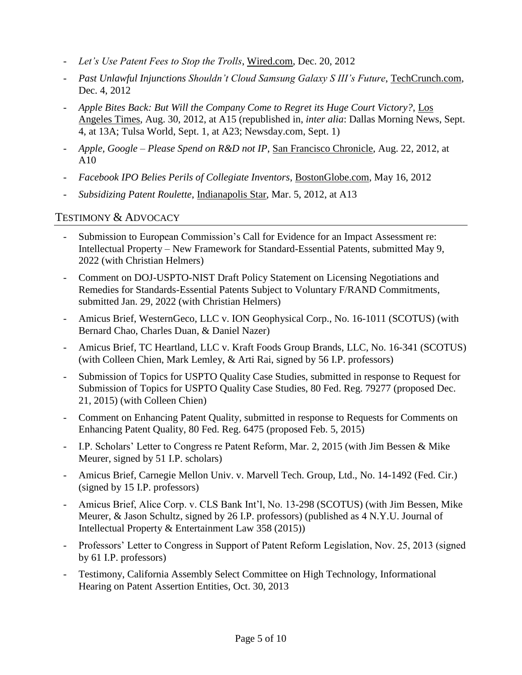- *- Let's Use Patent Fees to Stop the Trolls*, Wired.com, Dec. 20, 2012
- *- Past Unlawful Injunctions Shouldn't Cloud Samsung Galaxy S III's Future*, TechCrunch.com, Dec. 4, 2012
- *- Apple Bites Back: But Will the Company Come to Regret its Huge Court Victory?*, Los Angeles Times, Aug. 30, 2012, at A15 (republished in, *inter alia*: Dallas Morning News, Sept. 4, at 13A; Tulsa World, Sept. 1, at A23; Newsday.com, Sept. 1)
- *- Apple, Google – Please Spend on R&D not IP*, San Francisco Chronicle, Aug. 22, 2012, at A10
- *- Facebook IPO Belies Perils of Collegiate Inventors*, BostonGlobe.com, May 16, 2012
- *- Subsidizing Patent Roulette*, Indianapolis Star, Mar. 5, 2012, at A13

## TESTIMONY & ADVOCACY

- *-* Submission to European Commission's Call for Evidence for an Impact Assessment re: Intellectual Property – New Framework for Standard-Essential Patents, submitted May 9, 2022 (with Christian Helmers)
- *-* Comment on DOJ-USPTO-NIST Draft Policy Statement on Licensing Negotiations and Remedies for Standards-Essential Patents Subject to Voluntary F/RAND Commitments, submitted Jan. 29, 2022 (with Christian Helmers)
- *-* Amicus Brief, WesternGeco, LLC v. ION Geophysical Corp., No. 16-1011 (SCOTUS) (with Bernard Chao, Charles Duan, & Daniel Nazer)
- *-* Amicus Brief, TC Heartland, LLC v. Kraft Foods Group Brands, LLC, No. 16-341 (SCOTUS) (with Colleen Chien, Mark Lemley, & Arti Rai, signed by 56 I.P. professors)
- *-* Submission of Topics for USPTO Quality Case Studies, submitted in response to Request for Submission of Topics for USPTO Quality Case Studies, 80 Fed. Reg. 79277 (proposed Dec. 21, 2015) (with Colleen Chien)
- *-* Comment on Enhancing Patent Quality, submitted in response to Requests for Comments on Enhancing Patent Quality, 80 Fed. Reg. 6475 (proposed Feb. 5, 2015)
- *-* I.P. Scholars' Letter to Congress re Patent Reform, Mar. 2, 2015 (with Jim Bessen & Mike Meurer, signed by 51 I.P. scholars)
- *-* Amicus Brief, Carnegie Mellon Univ. v. Marvell Tech. Group, Ltd., No. 14-1492 (Fed. Cir.) (signed by 15 I.P. professors)
- *-* Amicus Brief, Alice Corp. v. CLS Bank Int'l, No. 13-298 (SCOTUS) (with Jim Bessen, Mike Meurer, & Jason Schultz, signed by 26 I.P. professors) (published as 4 N.Y.U. Journal of Intellectual Property & Entertainment Law 358 (2015))
- *-* Professors' Letter to Congress in Support of Patent Reform Legislation, Nov. 25, 2013 (signed by 61 I.P. professors)
- *-* Testimony, California Assembly Select Committee on High Technology, Informational Hearing on Patent Assertion Entities, Oct. 30, 2013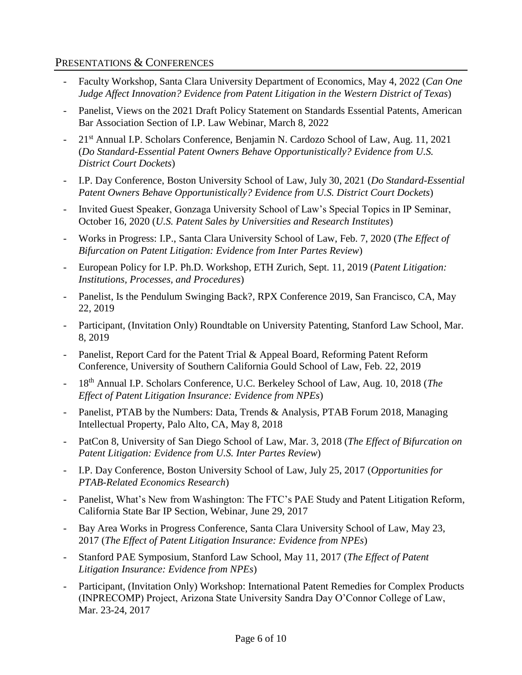### PRESENTATIONS & CONFERENCES

- *-* Faculty Workshop, Santa Clara University Department of Economics, May 4, 2022 (*Can One Judge Affect Innovation? Evidence from Patent Litigation in the Western District of Texas*)
- *-* Panelist, Views on the 2021 Draft Policy Statement on Standards Essential Patents, American Bar Association Section of I.P. Law Webinar, March 8, 2022
- *-* 21 st Annual I.P. Scholars Conference, Benjamin N. Cardozo School of Law, Aug. 11, 2021 (*Do Standard-Essential Patent Owners Behave Opportunistically? Evidence from U.S. District Court Dockets*)
- *-* I.P. Day Conference, Boston University School of Law, July 30, 2021 (*Do Standard-Essential Patent Owners Behave Opportunistically? Evidence from U.S. District Court Dockets*)
- *-* Invited Guest Speaker, Gonzaga University School of Law's Special Topics in IP Seminar, October 16, 2020 (*U.S. Patent Sales by Universities and Research Institutes*)
- *-* Works in Progress: I.P., Santa Clara University School of Law, Feb. 7, 2020 (*The Effect of Bifurcation on Patent Litigation: Evidence from Inter Partes Review*)
- *-* European Policy for I.P. Ph.D. Workshop, ETH Zurich, Sept. 11, 2019 (*Patent Litigation: Institutions, Processes, and Procedures*)
- *-* Panelist, Is the Pendulum Swinging Back?, RPX Conference 2019, San Francisco, CA, May 22, 2019
- *-* Participant, (Invitation Only) Roundtable on University Patenting, Stanford Law School, Mar. 8, 2019
- *-* Panelist, Report Card for the Patent Trial & Appeal Board, Reforming Patent Reform Conference, University of Southern California Gould School of Law, Feb. 22, 2019
- *-* 18th Annual I.P. Scholars Conference, U.C. Berkeley School of Law, Aug. 10, 2018 (*The Effect of Patent Litigation Insurance: Evidence from NPEs*)
- *-* Panelist, PTAB by the Numbers: Data, Trends & Analysis, PTAB Forum 2018, Managing Intellectual Property, Palo Alto, CA, May 8, 2018
- *-* PatCon 8, University of San Diego School of Law, Mar. 3, 2018 (*The Effect of Bifurcation on Patent Litigation: Evidence from U.S. Inter Partes Review*)
- *-* I.P. Day Conference, Boston University School of Law, July 25, 2017 (*Opportunities for PTAB-Related Economics Research*)
- *-* Panelist, What's New from Washington: The FTC's PAE Study and Patent Litigation Reform, California State Bar IP Section, Webinar, June 29, 2017
- *-* Bay Area Works in Progress Conference, Santa Clara University School of Law, May 23, 2017 (*The Effect of Patent Litigation Insurance: Evidence from NPEs*)
- *-* Stanford PAE Symposium, Stanford Law School, May 11, 2017 (*The Effect of Patent Litigation Insurance: Evidence from NPEs*)
- *-* Participant, (Invitation Only) Workshop: International Patent Remedies for Complex Products (INPRECOMP) Project, Arizona State University Sandra Day O'Connor College of Law, Mar. 23-24, 2017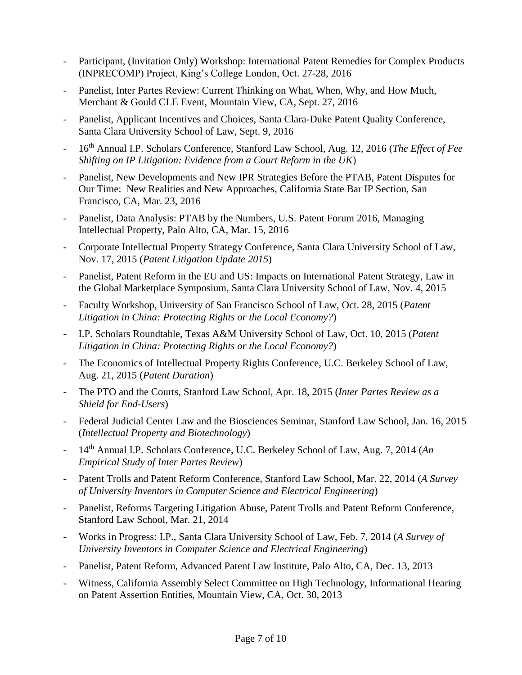- *-* Participant, (Invitation Only) Workshop: International Patent Remedies for Complex Products (INPRECOMP) Project, King's College London, Oct. 27-28, 2016
- *-* Panelist, Inter Partes Review: Current Thinking on What, When, Why, and How Much, Merchant & Gould CLE Event, Mountain View, CA, Sept. 27, 2016
- *-* Panelist, Applicant Incentives and Choices, Santa Clara-Duke Patent Quality Conference, Santa Clara University School of Law, Sept. 9, 2016
- *-* 16th Annual I.P. Scholars Conference, Stanford Law School, Aug. 12, 2016 (*The Effect of Fee Shifting on IP Litigation: Evidence from a Court Reform in the UK*)
- *-* Panelist, New Developments and New IPR Strategies Before the PTAB, Patent Disputes for Our Time: New Realities and New Approaches, California State Bar IP Section, San Francisco, CA, Mar. 23, 2016
- *-* Panelist, Data Analysis: PTAB by the Numbers, U.S. Patent Forum 2016, Managing Intellectual Property, Palo Alto, CA, Mar. 15, 2016
- *-* Corporate Intellectual Property Strategy Conference, Santa Clara University School of Law, Nov. 17, 2015 (*Patent Litigation Update 2015*)
- *-* Panelist, Patent Reform in the EU and US: Impacts on International Patent Strategy, Law in the Global Marketplace Symposium, Santa Clara University School of Law, Nov. 4, 2015
- *-* Faculty Workshop, University of San Francisco School of Law, Oct. 28, 2015 (*Patent Litigation in China: Protecting Rights or the Local Economy?*)
- *-* I.P. Scholars Roundtable, Texas A&M University School of Law, Oct. 10, 2015 (*Patent Litigation in China: Protecting Rights or the Local Economy?*)
- *-* The Economics of Intellectual Property Rights Conference, U.C. Berkeley School of Law, Aug. 21, 2015 (*Patent Duration*)
- *-* The PTO and the Courts, Stanford Law School, Apr. 18, 2015 (*Inter Partes Review as a Shield for End-Users*)
- *-* Federal Judicial Center Law and the Biosciences Seminar, Stanford Law School, Jan. 16, 2015 (*Intellectual Property and Biotechnology*)
- 14<sup>th</sup> Annual I.P. Scholars Conference, U.C. Berkeley School of Law, Aug. 7, 2014 (*An Empirical Study of Inter Partes Review*)
- *-* Patent Trolls and Patent Reform Conference, Stanford Law School, Mar. 22, 2014 (*A Survey of University Inventors in Computer Science and Electrical Engineering*)
- *-* Panelist, Reforms Targeting Litigation Abuse, Patent Trolls and Patent Reform Conference, Stanford Law School, Mar. 21, 2014
- *-* Works in Progress: I.P., Santa Clara University School of Law, Feb. 7, 2014 (*A Survey of University Inventors in Computer Science and Electrical Engineering*)
- *-* Panelist, Patent Reform, Advanced Patent Law Institute, Palo Alto, CA, Dec. 13, 2013
- *-* Witness, California Assembly Select Committee on High Technology, Informational Hearing on Patent Assertion Entities, Mountain View, CA, Oct. 30, 2013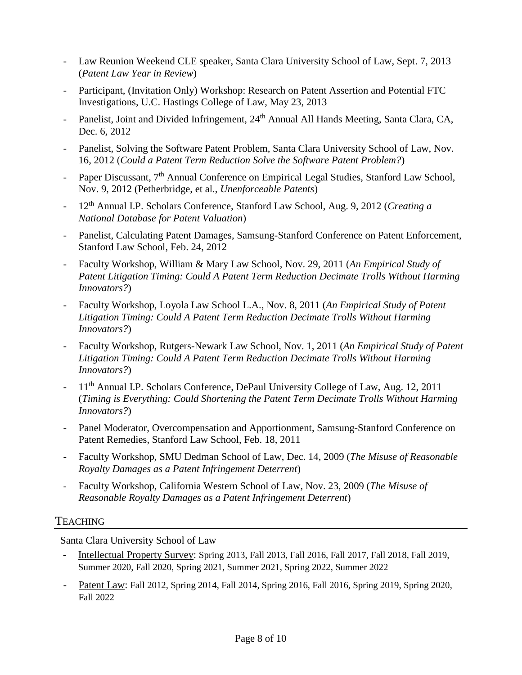- *-* Law Reunion Weekend CLE speaker, Santa Clara University School of Law, Sept. 7, 2013 (*Patent Law Year in Review*)
- *-* Participant, (Invitation Only) Workshop: Research on Patent Assertion and Potential FTC Investigations, U.C. Hastings College of Law, May 23, 2013
- <sup>-</sup> Panelist, Joint and Divided Infringement, 24<sup>th</sup> Annual All Hands Meeting, Santa Clara, CA, Dec. 6, 2012
- *-* Panelist, Solving the Software Patent Problem, Santa Clara University School of Law, Nov. 16, 2012 (*Could a Patent Term Reduction Solve the Software Patent Problem?*)
- *-* Paper Discussant, 7th Annual Conference on Empirical Legal Studies, Stanford Law School, Nov. 9, 2012 (Petherbridge, et al., *Unenforceable Patents*)
- *-* 12th Annual I.P. Scholars Conference, Stanford Law School, Aug. 9, 2012 (*Creating a National Database for Patent Valuation*)
- *-* Panelist, Calculating Patent Damages, Samsung-Stanford Conference on Patent Enforcement, Stanford Law School, Feb. 24, 2012
- *-* Faculty Workshop, William & Mary Law School, Nov. 29, 2011 (*An Empirical Study of Patent Litigation Timing: Could A Patent Term Reduction Decimate Trolls Without Harming Innovators?*)
- *-* Faculty Workshop, Loyola Law School L.A., Nov. 8, 2011 (*An Empirical Study of Patent Litigation Timing: Could A Patent Term Reduction Decimate Trolls Without Harming Innovators?*)
- *-* Faculty Workshop, Rutgers-Newark Law School, Nov. 1, 2011 (*An Empirical Study of Patent Litigation Timing: Could A Patent Term Reduction Decimate Trolls Without Harming Innovators?*)
- 11<sup>th</sup> Annual I.P. Scholars Conference, DePaul University College of Law, Aug. 12, 2011 (*Timing is Everything: Could Shortening the Patent Term Decimate Trolls Without Harming Innovators?*)
- *-* Panel Moderator, Overcompensation and Apportionment, Samsung-Stanford Conference on Patent Remedies, Stanford Law School, Feb. 18, 2011
- *-* Faculty Workshop, SMU Dedman School of Law, Dec. 14, 2009 (*The Misuse of Reasonable Royalty Damages as a Patent Infringement Deterrent*)
- *-* Faculty Workshop, California Western School of Law, Nov. 23, 2009 (*The Misuse of Reasonable Royalty Damages as a Patent Infringement Deterrent*)

#### **TEACHING**

Santa Clara University School of Law

- *-* Intellectual Property Survey: Spring 2013, Fall 2013, Fall 2016, Fall 2017, Fall 2018, Fall 2019, Summer 2020, Fall 2020, Spring 2021, Summer 2021, Spring 2022, Summer 2022
- *-* Patent Law: Fall 2012, Spring 2014, Fall 2014, Spring 2016, Fall 2016, Spring 2019, Spring 2020, Fall 2022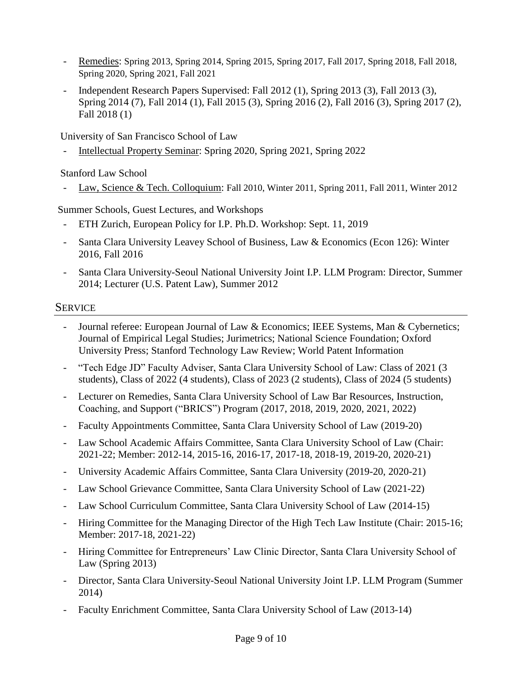- *-* Remedies: Spring 2013, Spring 2014, Spring 2015, Spring 2017, Fall 2017, Spring 2018, Fall 2018, Spring 2020, Spring 2021, Fall 2021
- *-* Independent Research Papers Supervised: Fall 2012 (1), Spring 2013 (3), Fall 2013 (3), Spring 2014 (7), Fall 2014 (1), Fall 2015 (3), Spring 2016 (2), Fall 2016 (3), Spring 2017 (2), Fall 2018 (1)

University of San Francisco School of Law

*-* Intellectual Property Seminar: Spring 2020, Spring 2021, Spring 2022

Stanford Law School

*-* Law, Science & Tech. Colloquium: Fall 2010, Winter 2011, Spring 2011, Fall 2011, Winter 2012

Summer Schools, Guest Lectures, and Workshops

- *-* ETH Zurich, European Policy for I.P. Ph.D. Workshop: Sept. 11, 2019
- *-* Santa Clara University Leavey School of Business, Law & Economics (Econ 126): Winter 2016, Fall 2016
- *-* Santa Clara University-Seoul National University Joint I.P. LLM Program: Director, Summer 2014; Lecturer (U.S. Patent Law), Summer 2012

## SERVICE

- *-* Journal referee: European Journal of Law & Economics; IEEE Systems, Man & Cybernetics; Journal of Empirical Legal Studies; Jurimetrics; National Science Foundation; Oxford University Press; Stanford Technology Law Review; World Patent Information
- *-* "Tech Edge JD" Faculty Adviser, Santa Clara University School of Law: Class of 2021 (3 students), Class of 2022 (4 students), Class of 2023 (2 students), Class of 2024 (5 students)
- *-* Lecturer on Remedies, Santa Clara University School of Law Bar Resources, Instruction, Coaching, and Support ("BRICS") Program (2017, 2018, 2019, 2020, 2021, 2022)
- *-* Faculty Appointments Committee, Santa Clara University School of Law (2019-20)
- *-* Law School Academic Affairs Committee, Santa Clara University School of Law (Chair: 2021-22; Member: 2012-14, 2015-16, 2016-17, 2017-18, 2018-19, 2019-20, 2020-21)
- *-* University Academic Affairs Committee, Santa Clara University (2019-20, 2020-21)
- *-* Law School Grievance Committee, Santa Clara University School of Law (2021-22)
- *-* Law School Curriculum Committee, Santa Clara University School of Law (2014-15)
- *-* Hiring Committee for the Managing Director of the High Tech Law Institute (Chair: 2015-16; Member: 2017-18, 2021-22)
- *-* Hiring Committee for Entrepreneurs' Law Clinic Director, Santa Clara University School of Law (Spring 2013)
- *-* Director, Santa Clara University-Seoul National University Joint I.P. LLM Program (Summer 2014)
- *-* Faculty Enrichment Committee, Santa Clara University School of Law (2013-14)